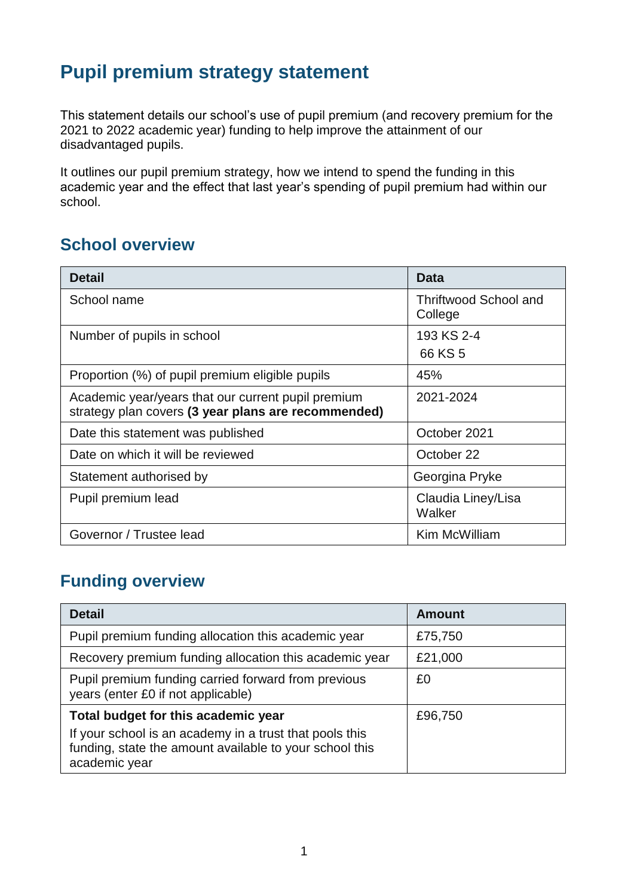# **Pupil premium strategy statement**

This statement details our school's use of pupil premium (and recovery premium for the 2021 to 2022 academic year) funding to help improve the attainment of our disadvantaged pupils.

It outlines our pupil premium strategy, how we intend to spend the funding in this academic year and the effect that last year's spending of pupil premium had within our school.

## **School overview**

| <b>Detail</b>                                                                                             | <b>Data</b>                             |
|-----------------------------------------------------------------------------------------------------------|-----------------------------------------|
| School name                                                                                               | <b>Thriftwood School and</b><br>College |
| Number of pupils in school                                                                                | 193 KS 2-4<br>66 KS 5                   |
| Proportion (%) of pupil premium eligible pupils                                                           | 45%                                     |
| Academic year/years that our current pupil premium<br>strategy plan covers (3 year plans are recommended) | 2021-2024                               |
| Date this statement was published                                                                         | October 2021                            |
| Date on which it will be reviewed                                                                         | October 22                              |
| Statement authorised by                                                                                   | Georgina Pryke                          |
| Pupil premium lead                                                                                        | Claudia Liney/Lisa<br>Walker            |
| Governor / Trustee lead                                                                                   | Kim McWilliam                           |

# **Funding overview**

| <b>Detail</b>                                                                                  | <b>Amount</b> |
|------------------------------------------------------------------------------------------------|---------------|
| Pupil premium funding allocation this academic year                                            | £75,750       |
| Recovery premium funding allocation this academic year                                         | £21,000       |
| Pupil premium funding carried forward from previous<br>years (enter £0 if not applicable)      | £0            |
| Total budget for this academic year<br>If your school is an academy in a trust that pools this | £96,750       |
| funding, state the amount available to your school this<br>academic year                       |               |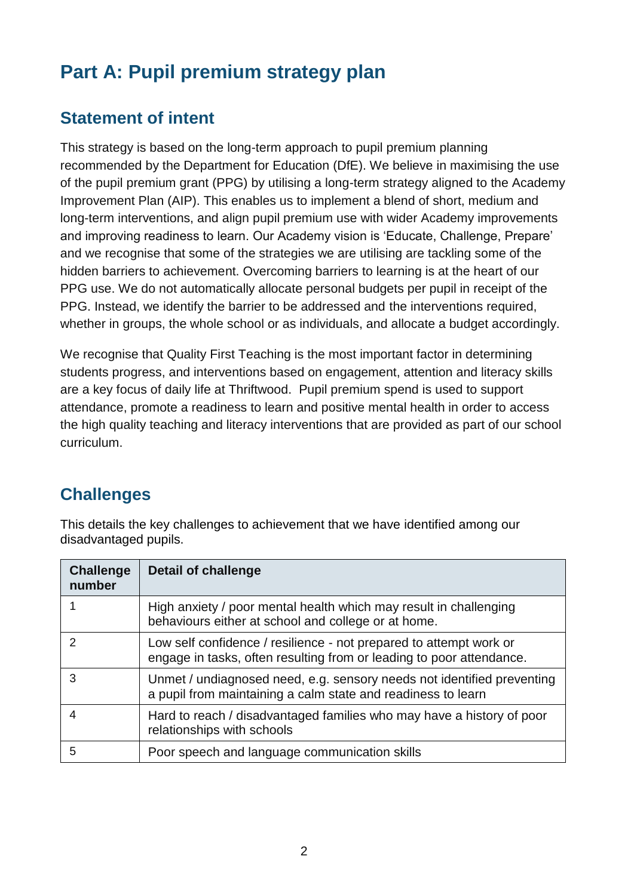# **Part A: Pupil premium strategy plan**

# **Statement of intent**

This strategy is based on the long-term approach to pupil premium planning recommended by the Department for Education (DfE). We believe in maximising the use of the pupil premium grant (PPG) by utilising a long-term strategy aligned to the Academy Improvement Plan (AIP). This enables us to implement a blend of short, medium and long-term interventions, and align pupil premium use with wider Academy improvements and improving readiness to learn. Our Academy vision is 'Educate, Challenge, Prepare' and we recognise that some of the strategies we are utilising are tackling some of the hidden barriers to achievement. Overcoming barriers to learning is at the heart of our PPG use. We do not automatically allocate personal budgets per pupil in receipt of the PPG. Instead, we identify the barrier to be addressed and the interventions required, whether in groups, the whole school or as individuals, and allocate a budget accordingly.

We recognise that Quality First Teaching is the most important factor in determining students progress, and interventions based on engagement, attention and literacy skills are a key focus of daily life at Thriftwood. Pupil premium spend is used to support attendance, promote a readiness to learn and positive mental health in order to access the high quality teaching and literacy interventions that are provided as part of our school curriculum.

# **Challenges**

This details the key challenges to achievement that we have identified among our disadvantaged pupils.

| <b>Challenge</b><br>number | <b>Detail of challenge</b>                                                                                                                 |
|----------------------------|--------------------------------------------------------------------------------------------------------------------------------------------|
|                            | High anxiety / poor mental health which may result in challenging<br>behaviours either at school and college or at home.                   |
| $\mathcal{P}$              | Low self confidence / resilience - not prepared to attempt work or<br>engage in tasks, often resulting from or leading to poor attendance. |
| 3                          | Unmet / undiagnosed need, e.g. sensory needs not identified preventing<br>a pupil from maintaining a calm state and readiness to learn     |
| 4                          | Hard to reach / disadvantaged families who may have a history of poor<br>relationships with schools                                        |
| 5                          | Poor speech and language communication skills                                                                                              |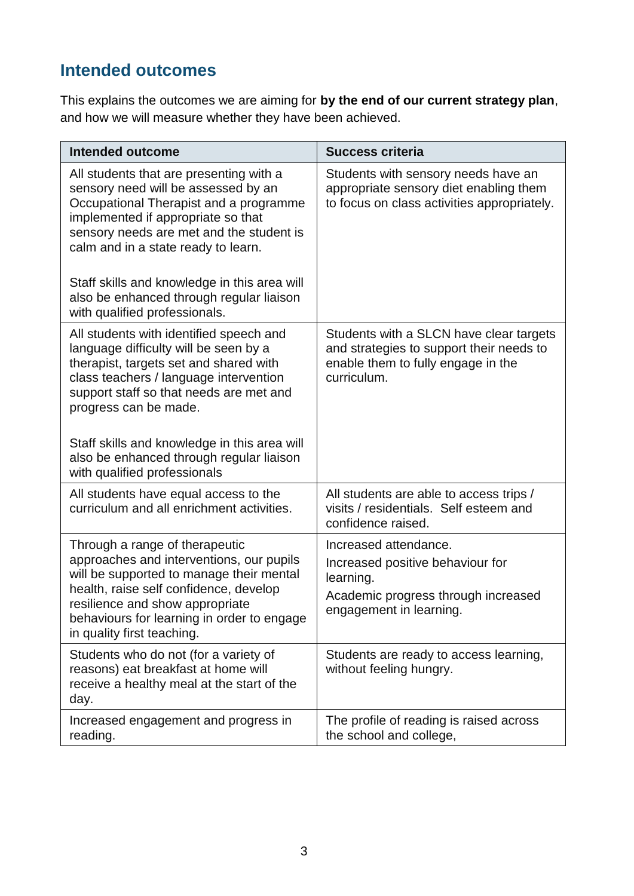# **Intended outcomes**

This explains the outcomes we are aiming for **by the end of our current strategy plan**, and how we will measure whether they have been achieved.

| <b>Intended outcome</b>                                                                                                                                                                                                                                                                                                                                                        | <b>Success criteria</b>                                                                                                                  |
|--------------------------------------------------------------------------------------------------------------------------------------------------------------------------------------------------------------------------------------------------------------------------------------------------------------------------------------------------------------------------------|------------------------------------------------------------------------------------------------------------------------------------------|
| All students that are presenting with a<br>sensory need will be assessed by an<br>Occupational Therapist and a programme<br>implemented if appropriate so that<br>sensory needs are met and the student is<br>calm and in a state ready to learn.<br>Staff skills and knowledge in this area will<br>also be enhanced through regular liaison<br>with qualified professionals. | Students with sensory needs have an<br>appropriate sensory diet enabling them<br>to focus on class activities appropriately.             |
| All students with identified speech and<br>language difficulty will be seen by a<br>therapist, targets set and shared with<br>class teachers / language intervention<br>support staff so that needs are met and<br>progress can be made.<br>Staff skills and knowledge in this area will<br>also be enhanced through regular liaison<br>with qualified professionals           | Students with a SLCN have clear targets<br>and strategies to support their needs to<br>enable them to fully engage in the<br>curriculum. |
| All students have equal access to the<br>curriculum and all enrichment activities.                                                                                                                                                                                                                                                                                             | All students are able to access trips /<br>visits / residentials. Self esteem and<br>confidence raised.                                  |
| Through a range of therapeutic<br>approaches and interventions, our pupils<br>will be supported to manage their mental<br>health, raise self confidence, develop<br>resilience and show appropriate<br>behaviours for learning in order to engage<br>in quality first teaching.                                                                                                | Increased attendance.<br>Increased positive behaviour for<br>learning.<br>Academic progress through increased<br>engagement in learning. |
| Students who do not (for a variety of<br>reasons) eat breakfast at home will<br>receive a healthy meal at the start of the<br>day.                                                                                                                                                                                                                                             | Students are ready to access learning,<br>without feeling hungry.                                                                        |
| Increased engagement and progress in<br>reading.                                                                                                                                                                                                                                                                                                                               | The profile of reading is raised across<br>the school and college,                                                                       |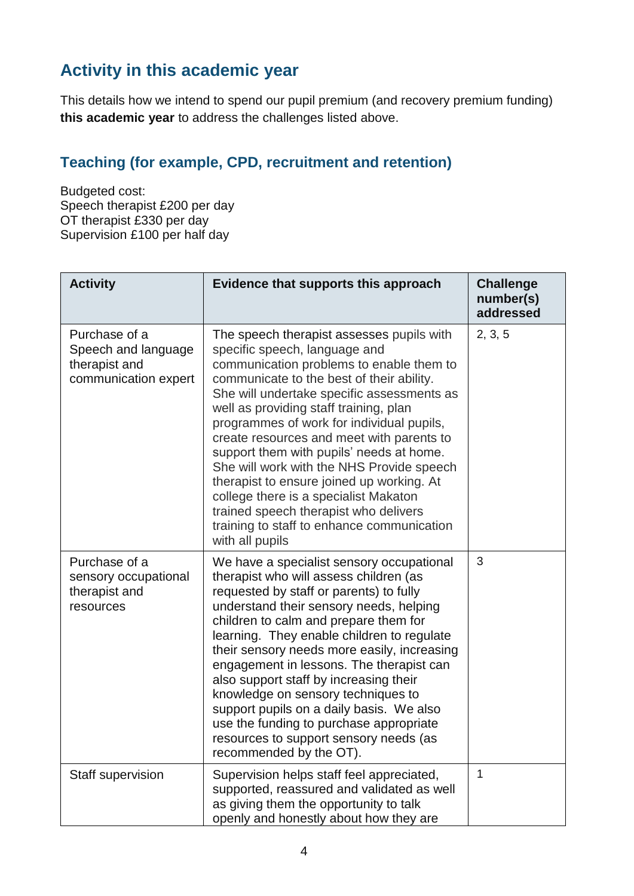# **Activity in this academic year**

This details how we intend to spend our pupil premium (and recovery premium funding) **this academic year** to address the challenges listed above.

### **Teaching (for example, CPD, recruitment and retention)**

Budgeted cost: Speech therapist £200 per day OT therapist £330 per day Supervision £100 per half day

| <b>Activity</b>                                                               | Evidence that supports this approach                                                                                                                                                                                                                                                                                                                                                                                                                                                                                                                                                                                                           | <b>Challenge</b><br>number(s)<br>addressed |
|-------------------------------------------------------------------------------|------------------------------------------------------------------------------------------------------------------------------------------------------------------------------------------------------------------------------------------------------------------------------------------------------------------------------------------------------------------------------------------------------------------------------------------------------------------------------------------------------------------------------------------------------------------------------------------------------------------------------------------------|--------------------------------------------|
| Purchase of a<br>Speech and language<br>therapist and<br>communication expert | The speech therapist assesses pupils with<br>specific speech, language and<br>communication problems to enable them to<br>communicate to the best of their ability.<br>She will undertake specific assessments as<br>well as providing staff training, plan<br>programmes of work for individual pupils,<br>create resources and meet with parents to<br>support them with pupils' needs at home.<br>She will work with the NHS Provide speech<br>therapist to ensure joined up working. At<br>college there is a specialist Makaton<br>trained speech therapist who delivers<br>training to staff to enhance communication<br>with all pupils | 2, 3, 5                                    |
| Purchase of a<br>sensory occupational<br>therapist and<br>resources           | We have a specialist sensory occupational<br>therapist who will assess children (as<br>requested by staff or parents) to fully<br>understand their sensory needs, helping<br>children to calm and prepare them for<br>learning. They enable children to regulate<br>their sensory needs more easily, increasing<br>engagement in lessons. The therapist can<br>also support staff by increasing their<br>knowledge on sensory techniques to<br>support pupils on a daily basis. We also<br>use the funding to purchase appropriate<br>resources to support sensory needs (as<br>recommended by the OT).                                        | 3                                          |
| Staff supervision                                                             | Supervision helps staff feel appreciated,<br>supported, reassured and validated as well<br>as giving them the opportunity to talk<br>openly and honestly about how they are                                                                                                                                                                                                                                                                                                                                                                                                                                                                    | $\mathbf{1}$                               |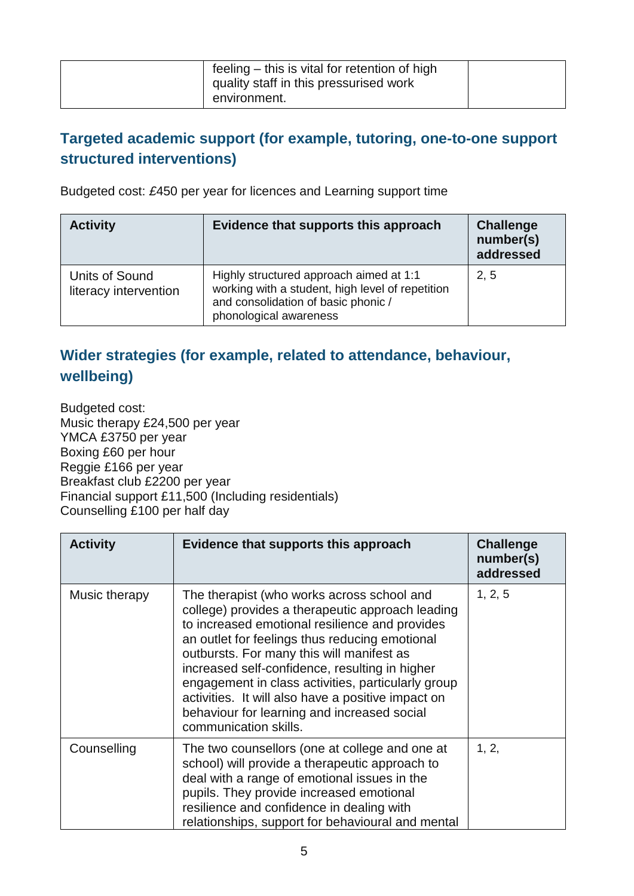| feeling – this is vital for retention of high<br>quality staff in this pressurised work |  |
|-----------------------------------------------------------------------------------------|--|
| environment.                                                                            |  |

### **Targeted academic support (for example, tutoring, one-to-one support structured interventions)**

Budgeted cost: *£*450 per year for licences and Learning support time

| <b>Activity</b>                         | Evidence that supports this approach                                                                                                                         | <b>Challenge</b><br>number(s)<br>addressed |
|-----------------------------------------|--------------------------------------------------------------------------------------------------------------------------------------------------------------|--------------------------------------------|
| Units of Sound<br>literacy intervention | Highly structured approach aimed at 1:1<br>working with a student, high level of repetition<br>and consolidation of basic phonic /<br>phonological awareness | 2, 5                                       |

### **Wider strategies (for example, related to attendance, behaviour, wellbeing)**

Budgeted cost: Music therapy £24,500 per year YMCA £3750 per year Boxing £60 per hour Reggie £166 per year Breakfast club £2200 per year Financial support £11,500 (Including residentials) Counselling £100 per half day

| <b>Activity</b> | Evidence that supports this approach                                                                                                                                                                                                                                                                                                                                                                                                                                                  | <b>Challenge</b><br>number(s)<br>addressed |
|-----------------|---------------------------------------------------------------------------------------------------------------------------------------------------------------------------------------------------------------------------------------------------------------------------------------------------------------------------------------------------------------------------------------------------------------------------------------------------------------------------------------|--------------------------------------------|
| Music therapy   | The therapist (who works across school and<br>college) provides a therapeutic approach leading<br>to increased emotional resilience and provides<br>an outlet for feelings thus reducing emotional<br>outbursts. For many this will manifest as<br>increased self-confidence, resulting in higher<br>engagement in class activities, particularly group<br>activities. It will also have a positive impact on<br>behaviour for learning and increased social<br>communication skills. | 1, 2, 5                                    |
| Counselling     | The two counsellors (one at college and one at<br>school) will provide a therapeutic approach to<br>deal with a range of emotional issues in the<br>pupils. They provide increased emotional<br>resilience and confidence in dealing with<br>relationships, support for behavioural and mental                                                                                                                                                                                        | 1, 2,                                      |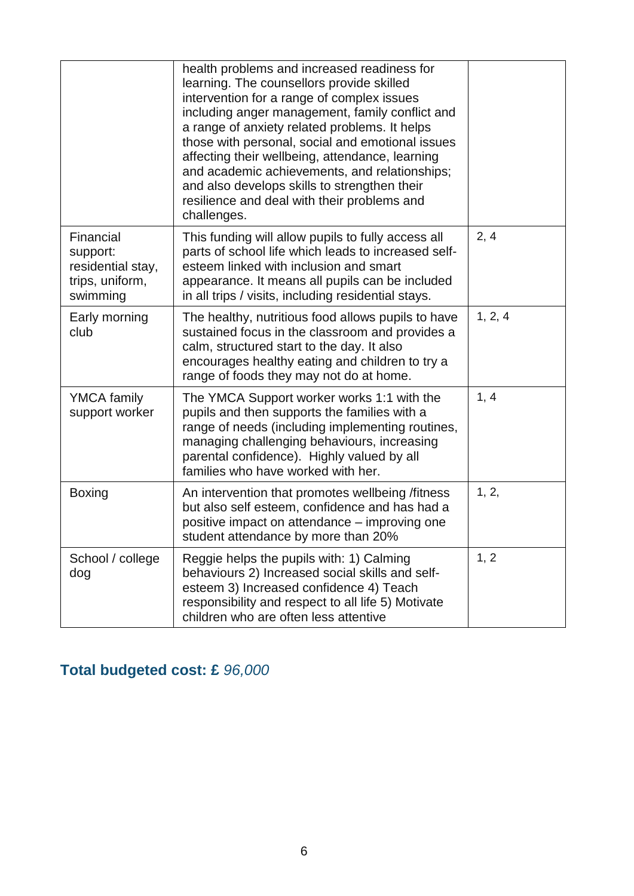|                                                                           | health problems and increased readiness for<br>learning. The counsellors provide skilled<br>intervention for a range of complex issues<br>including anger management, family conflict and<br>a range of anxiety related problems. It helps<br>those with personal, social and emotional issues<br>affecting their wellbeing, attendance, learning<br>and academic achievements, and relationships;<br>and also develops skills to strengthen their<br>resilience and deal with their problems and<br>challenges. |         |
|---------------------------------------------------------------------------|------------------------------------------------------------------------------------------------------------------------------------------------------------------------------------------------------------------------------------------------------------------------------------------------------------------------------------------------------------------------------------------------------------------------------------------------------------------------------------------------------------------|---------|
| Financial<br>support:<br>residential stay,<br>trips, uniform,<br>swimming | This funding will allow pupils to fully access all<br>parts of school life which leads to increased self-<br>esteem linked with inclusion and smart<br>appearance. It means all pupils can be included<br>in all trips / visits, including residential stays.                                                                                                                                                                                                                                                    | 2, 4    |
| Early morning<br>club                                                     | The healthy, nutritious food allows pupils to have<br>sustained focus in the classroom and provides a<br>calm, structured start to the day. It also<br>encourages healthy eating and children to try a<br>range of foods they may not do at home.                                                                                                                                                                                                                                                                | 1, 2, 4 |
| <b>YMCA</b> family<br>support worker                                      | The YMCA Support worker works 1:1 with the<br>pupils and then supports the families with a<br>range of needs (including implementing routines,<br>managing challenging behaviours, increasing<br>parental confidence). Highly valued by all<br>families who have worked with her.                                                                                                                                                                                                                                | 1, 4    |
| <b>Boxing</b>                                                             | An intervention that promotes wellbeing /fitness<br>but also self esteem, confidence and has had a<br>positive impact on attendance – improving one<br>student attendance by more than 20%                                                                                                                                                                                                                                                                                                                       | 1, 2,   |
| School / college<br>dog                                                   | Reggie helps the pupils with: 1) Calming<br>behaviours 2) Increased social skills and self-<br>esteem 3) Increased confidence 4) Teach<br>responsibility and respect to all life 5) Motivate<br>children who are often less attentive                                                                                                                                                                                                                                                                            | 1, 2    |

# **Total budgeted cost: £** *96,000*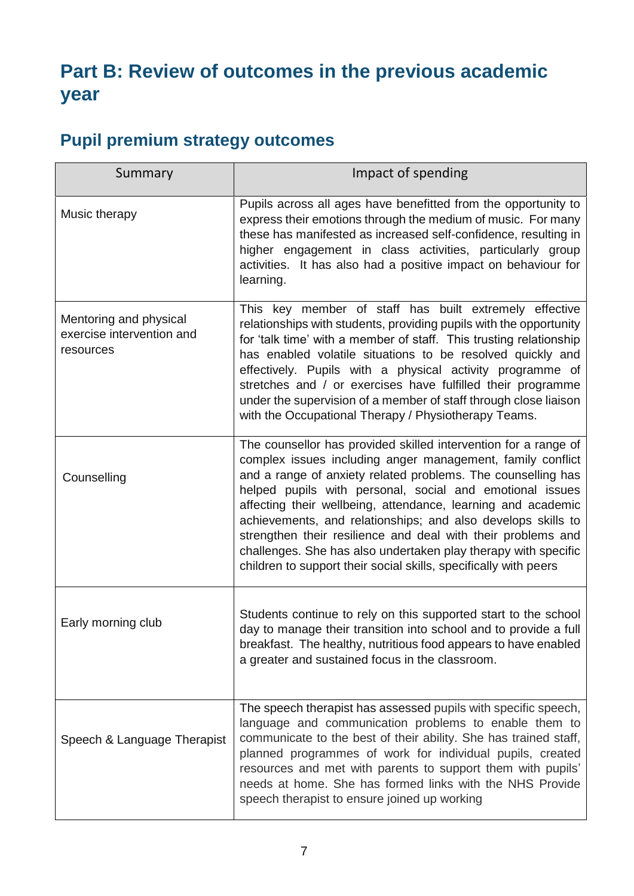# **Part B: Review of outcomes in the previous academic year**

# **Pupil premium strategy outcomes**

| Summary                                                          | Impact of spending                                                                                                                                                                                                                                                                                                                                                                                                                                                                                                                                                                              |
|------------------------------------------------------------------|-------------------------------------------------------------------------------------------------------------------------------------------------------------------------------------------------------------------------------------------------------------------------------------------------------------------------------------------------------------------------------------------------------------------------------------------------------------------------------------------------------------------------------------------------------------------------------------------------|
| Music therapy                                                    | Pupils across all ages have benefitted from the opportunity to<br>express their emotions through the medium of music. For many<br>these has manifested as increased self-confidence, resulting in<br>higher engagement in class activities, particularly group<br>activities. It has also had a positive impact on behaviour for<br>learning.                                                                                                                                                                                                                                                   |
| Mentoring and physical<br>exercise intervention and<br>resources | This key member of staff has built extremely effective<br>relationships with students, providing pupils with the opportunity<br>for 'talk time' with a member of staff. This trusting relationship<br>has enabled volatile situations to be resolved quickly and<br>effectively. Pupils with a physical activity programme of<br>stretches and / or exercises have fulfilled their programme<br>under the supervision of a member of staff through close liaison<br>with the Occupational Therapy / Physiotherapy Teams.                                                                        |
| Counselling                                                      | The counsellor has provided skilled intervention for a range of<br>complex issues including anger management, family conflict<br>and a range of anxiety related problems. The counselling has<br>helped pupils with personal, social and emotional issues<br>affecting their wellbeing, attendance, learning and academic<br>achievements, and relationships; and also develops skills to<br>strengthen their resilience and deal with their problems and<br>challenges. She has also undertaken play therapy with specific<br>children to support their social skills, specifically with peers |
| Early morning club                                               | Students continue to rely on this supported start to the school<br>day to manage their transition into school and to provide a full<br>breakfast. The healthy, nutritious food appears to have enabled<br>a greater and sustained focus in the classroom.                                                                                                                                                                                                                                                                                                                                       |
| Speech & Language Therapist                                      | The speech therapist has assessed pupils with specific speech,<br>language and communication problems to enable them to<br>communicate to the best of their ability. She has trained staff,<br>planned programmes of work for individual pupils, created<br>resources and met with parents to support them with pupils'<br>needs at home. She has formed links with the NHS Provide<br>speech therapist to ensure joined up working                                                                                                                                                             |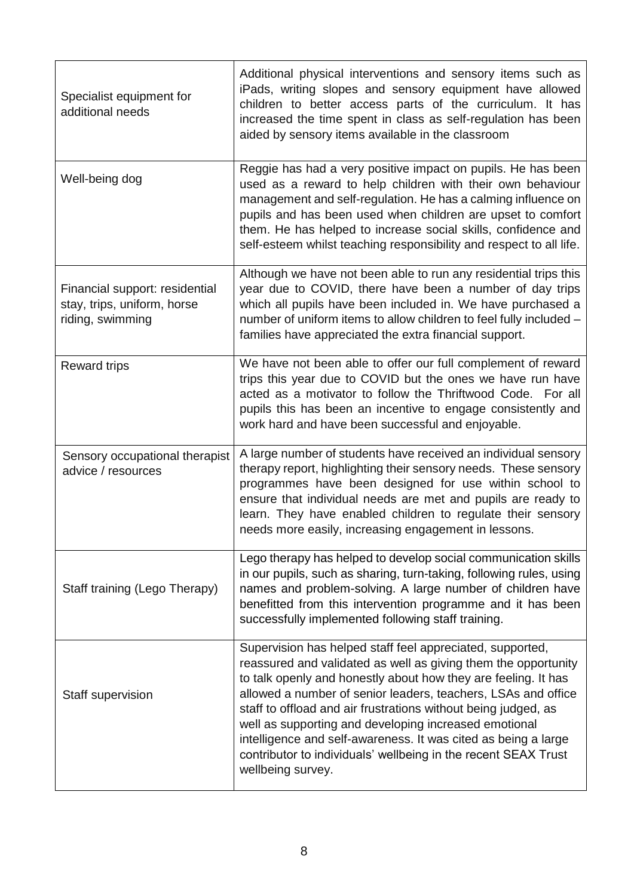| Specialist equipment for<br>additional needs                                      | Additional physical interventions and sensory items such as<br>iPads, writing slopes and sensory equipment have allowed<br>children to better access parts of the curriculum. It has<br>increased the time spent in class as self-regulation has been<br>aided by sensory items available in the classroom                                                                                                                                                                                                                                         |
|-----------------------------------------------------------------------------------|----------------------------------------------------------------------------------------------------------------------------------------------------------------------------------------------------------------------------------------------------------------------------------------------------------------------------------------------------------------------------------------------------------------------------------------------------------------------------------------------------------------------------------------------------|
| Well-being dog                                                                    | Reggie has had a very positive impact on pupils. He has been<br>used as a reward to help children with their own behaviour<br>management and self-regulation. He has a calming influence on<br>pupils and has been used when children are upset to comfort<br>them. He has helped to increase social skills, confidence and<br>self-esteem whilst teaching responsibility and respect to all life.                                                                                                                                                 |
| Financial support: residential<br>stay, trips, uniform, horse<br>riding, swimming | Although we have not been able to run any residential trips this<br>year due to COVID, there have been a number of day trips<br>which all pupils have been included in. We have purchased a<br>number of uniform items to allow children to feel fully included -<br>families have appreciated the extra financial support.                                                                                                                                                                                                                        |
| <b>Reward trips</b>                                                               | We have not been able to offer our full complement of reward<br>trips this year due to COVID but the ones we have run have<br>acted as a motivator to follow the Thriftwood Code. For all<br>pupils this has been an incentive to engage consistently and<br>work hard and have been successful and enjoyable.                                                                                                                                                                                                                                     |
| Sensory occupational therapist<br>advice / resources                              | A large number of students have received an individual sensory<br>therapy report, highlighting their sensory needs. These sensory<br>programmes have been designed for use within school to<br>ensure that individual needs are met and pupils are ready to<br>learn. They have enabled children to regulate their sensory<br>needs more easily, increasing engagement in lessons.                                                                                                                                                                 |
| Staff training (Lego Therapy)                                                     | Lego therapy has helped to develop social communication skills<br>in our pupils, such as sharing, turn-taking, following rules, using<br>names and problem-solving. A large number of children have<br>benefitted from this intervention programme and it has been<br>successfully implemented following staff training.                                                                                                                                                                                                                           |
| <b>Staff supervision</b>                                                          | Supervision has helped staff feel appreciated, supported,<br>reassured and validated as well as giving them the opportunity<br>to talk openly and honestly about how they are feeling. It has<br>allowed a number of senior leaders, teachers, LSAs and office<br>staff to offload and air frustrations without being judged, as<br>well as supporting and developing increased emotional<br>intelligence and self-awareness. It was cited as being a large<br>contributor to individuals' wellbeing in the recent SEAX Trust<br>wellbeing survey. |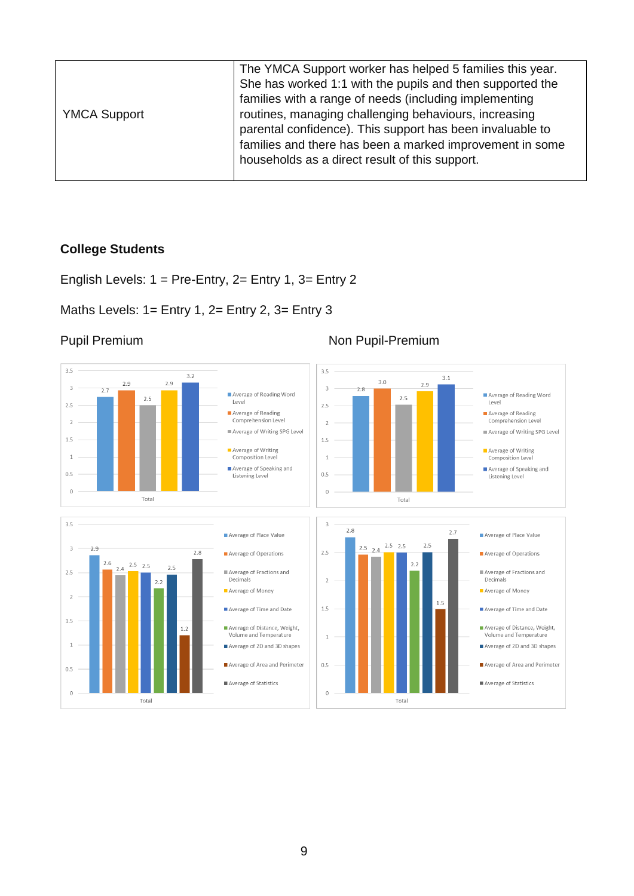| <b>YMCA Support</b> | The YMCA Support worker has helped 5 families this year.<br>She has worked 1:1 with the pupils and then supported the<br>families with a range of needs (including implementing<br>routines, managing challenging behaviours, increasing<br>parental confidence). This support has been invaluable to<br>families and there has been a marked improvement in some<br>households as a direct result of this support. |
|---------------------|---------------------------------------------------------------------------------------------------------------------------------------------------------------------------------------------------------------------------------------------------------------------------------------------------------------------------------------------------------------------------------------------------------------------|
|                     |                                                                                                                                                                                                                                                                                                                                                                                                                     |

### **College Students**

English Levels: 1 = Pre-Entry, 2= Entry 1, 3= Entry 2

### Maths Levels: 1= Entry 1, 2= Entry 2, 3= Entry 3



#### Pupil Premium Non Pupil-Premium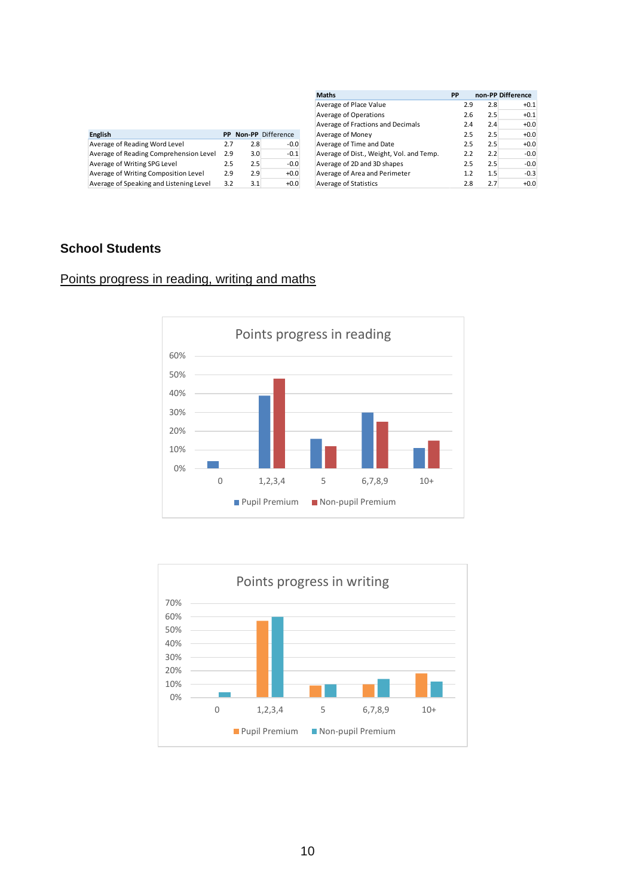| <b>English</b>                          | <b>PP</b> |     | <b>Non-PP</b> Difference |
|-----------------------------------------|-----------|-----|--------------------------|
| Average of Reading Word Level           | 2.7       | 2.8 | $-0.0$                   |
| Average of Reading Comprehension Level  | 2.9       | 3.0 | $-0.1$                   |
| Average of Writing SPG Level            | 2.5       | 2.5 | $-0.0$                   |
| Average of Writing Composition Level    | 2.9       | 2.9 | $+0.0$                   |
| Average of Speaking and Listening Level | 3.2       | 3.1 | $+0.0$                   |

| <b>Maths</b>                             | <b>PP</b> |     | non-PP Difference |
|------------------------------------------|-----------|-----|-------------------|
| Average of Place Value                   | 2.9       | 2.8 | $+0.1$            |
| Average of Operations                    | 2.6       | 2.5 | $+0.1$            |
| Average of Fractions and Decimals        | 2.4       | 2.4 | $+0.0$            |
| Average of Money                         | 2.5       | 2.5 | $+0.0$            |
| Average of Time and Date                 | 2.5       | 2.5 | $+0.0$            |
| Average of Dist., Weight, Vol. and Temp. | 2.2       | 2.2 | $-0.0$            |
| Average of 2D and 3D shapes              | 2.5       | 2.5 | $-0.0$            |
| Average of Area and Perimeter            | 1.2       | 1.5 | $-0.3$            |
| Average of Statistics                    | 2.8       | 2.7 | $+0.0$            |

### **School Students**

### Points progress in reading, writing and maths